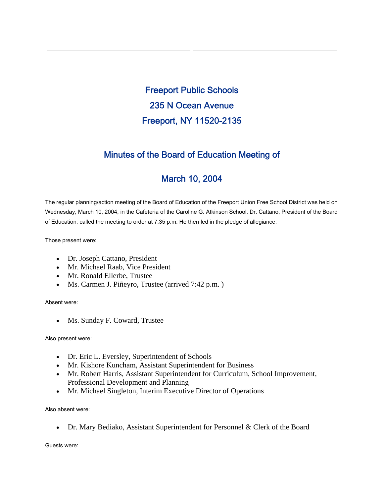Freeport Public Schools 235 N Ocean Avenue Freeport, NY 11520-2135

## Minutes of the Board of Education Meeting of

# March 10, 2004

The regular planning/action meeting of the Board of Education of the Freeport Union Free School District was held on Wednesday, March 10, 2004, in the Cafeteria of the Caroline G. Atkinson School. Dr. Cattano, President of the Board of Education, called the meeting to order at 7:35 p.m. He then led in the pledge of allegiance.

Those present were:

- Dr. Joseph Cattano, President
- Mr. Michael Raab, Vice President
- Mr. Ronald Ellerbe, Trustee
- Ms. Carmen J. Piñeyro, Trustee (arrived 7:42 p.m.)

Absent were:

• Ms. Sunday F. Coward, Trustee

Also present were:

- Dr. Eric L. Eversley, Superintendent of Schools
- Mr. Kishore Kuncham, Assistant Superintendent for Business
- Mr. Robert Harris, Assistant Superintendent for Curriculum, School Improvement, Professional Development and Planning
- Mr. Michael Singleton, Interim Executive Director of Operations

Also absent were:

• Dr. Mary Bediako, Assistant Superintendent for Personnel & Clerk of the Board

Guests were: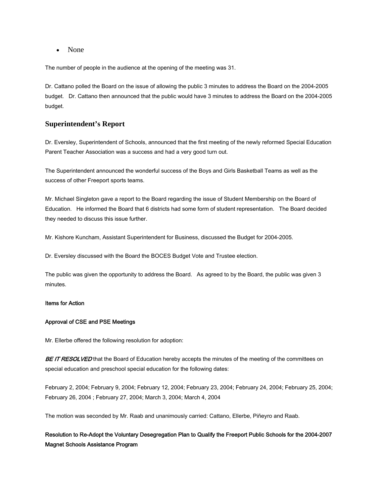• None

The number of people in the audience at the opening of the meeting was 31.

Dr. Cattano polled the Board on the issue of allowing the public 3 minutes to address the Board on the 2004-2005 budget. Dr. Cattano then announced that the public would have 3 minutes to address the Board on the 2004-2005 budget.

### **Superintendent's Report**

Dr. Eversley, Superintendent of Schools, announced that the first meeting of the newly reformed Special Education Parent Teacher Association was a success and had a very good turn out.

The Superintendent announced the wonderful success of the Boys and Girls Basketball Teams as well as the success of other Freeport sports teams.

Mr. Michael Singleton gave a report to the Board regarding the issue of Student Membership on the Board of Education. He informed the Board that 6 districts had some form of student representation. The Board decided they needed to discuss this issue further.

Mr. Kishore Kuncham, Assistant Superintendent for Business, discussed the Budget for 2004-2005.

Dr. Eversley discussed with the Board the BOCES Budget Vote and Trustee election.

The public was given the opportunity to address the Board. As agreed to by the Board, the public was given 3 minutes.

#### Items for Action

#### Approval of CSE and PSE Meetings

Mr. Ellerbe offered the following resolution for adoption:

BE IT RESOLVED that the Board of Education hereby accepts the minutes of the meeting of the committees on special education and preschool special education for the following dates:

February 2, 2004; February 9, 2004; February 12, 2004; February 23, 2004; February 24, 2004; February 25, 2004; February 26, 2004 ; February 27, 2004; March 3, 2004; March 4, 2004

The motion was seconded by Mr. Raab and unanimously carried: Cattano, Ellerbe, Piñeyro and Raab.

### Resolution to Re-Adopt the Voluntary Desegregation Plan to Qualify the Freeport Public Schools for the 2004-2007 Magnet Schools Assistance Program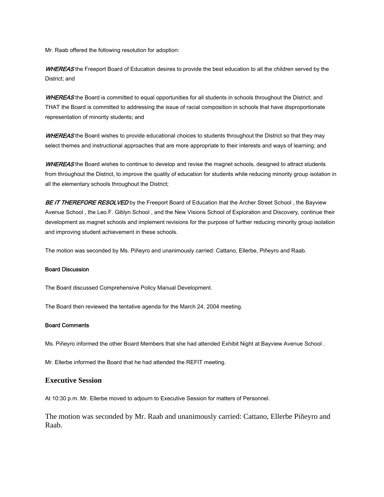Mr. Raab offered the following resolution for adoption:

WHEREAS the Freeport Board of Education desires to provide the best education to all the children served by the District; and

WHEREAS the Board is committed to equal opportunities for all students in schools throughout the District; and THAT the Board is committed to addressing the issue of racial composition in schools that have disproportionate representation of minority students; and

WHEREAS the Board wishes to provide educational choices to students throughout the District so that they may select themes and instructional approaches that are more appropriate to their interests and ways of learning; and

WHEREAS the Board wishes to continue to develop and revise the magnet schools, designed to attract students from throughout the District, to improve the quality of education for students while reducing minority group isolation in all the elementary schools throughout the District;

BE IT THEREFORE RESOLVED by the Freeport Board of Education that the Archer Street School, the Bayview Avenue School , the Leo F. Giblyn School , and the New Visions School of Exploration and Discovery, continue their development as magnet schools and implement revisions for the purpose of further reducing minority group isolation and improving student achievement in these schools.

The motion was seconded by Ms. Piñeyro and unanimously carried: Cattano, Ellerbe, Piñeyro and Raab.

#### Board Discussion

The Board discussed Comprehensive Policy Manual Development.

The Board then reviewed the tentative agenda for the March 24, 2004 meeting.

#### Board Comments

Ms. Piñeyro informed the other Board Members that she had attended Exhibit Night at Bayview Avenue School .

Mr. Ellerbe informed the Board that he had attended the REFIT meeting.

#### **Executive Session**

At 10:30 p.m. Mr. Ellerbe moved to adjourn to Executive Session for matters of Personnel.

The motion was seconded by Mr. Raab and unanimously carried: Cattano, Ellerbe Piñeyro and Raab.